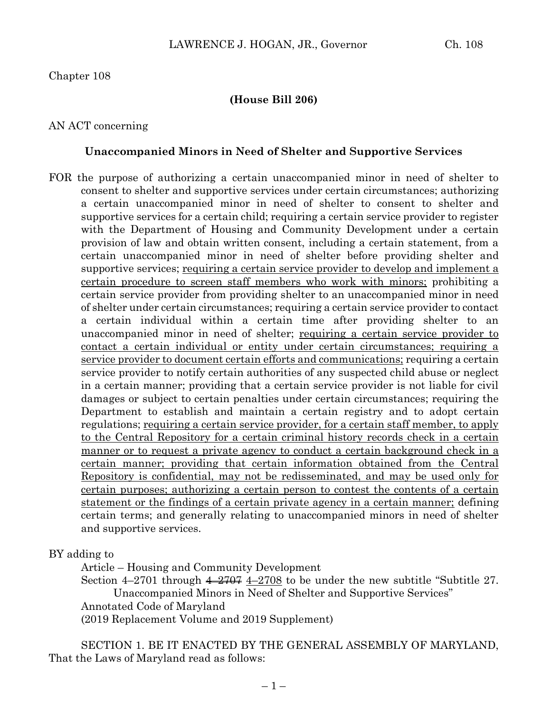### Chapter 108

#### **(House Bill 206)**

#### AN ACT concerning

#### **Unaccompanied Minors in Need of Shelter and Supportive Services**

FOR the purpose of authorizing a certain unaccompanied minor in need of shelter to consent to shelter and supportive services under certain circumstances; authorizing a certain unaccompanied minor in need of shelter to consent to shelter and supportive services for a certain child; requiring a certain service provider to register with the Department of Housing and Community Development under a certain provision of law and obtain written consent, including a certain statement, from a certain unaccompanied minor in need of shelter before providing shelter and supportive services; requiring a certain service provider to develop and implement a certain procedure to screen staff members who work with minors; prohibiting a certain service provider from providing shelter to an unaccompanied minor in need of shelter under certain circumstances; requiring a certain service provider to contact a certain individual within a certain time after providing shelter to an unaccompanied minor in need of shelter; requiring a certain service provider to contact a certain individual or entity under certain circumstances; requiring a service provider to document certain efforts and communications; requiring a certain service provider to notify certain authorities of any suspected child abuse or neglect in a certain manner; providing that a certain service provider is not liable for civil damages or subject to certain penalties under certain circumstances; requiring the Department to establish and maintain a certain registry and to adopt certain regulations; requiring a certain service provider, for a certain staff member, to apply to the Central Repository for a certain criminal history records check in a certain manner or to request a private agency to conduct a certain background check in a certain manner; providing that certain information obtained from the Central Repository is confidential, may not be redisseminated, and may be used only for certain purposes; authorizing a certain person to contest the contents of a certain statement or the findings of a certain private agency in a certain manner; defining certain terms; and generally relating to unaccompanied minors in need of shelter and supportive services.

BY adding to

Article – Housing and Community Development

Section  $4-2701$  through  $4-2707$  4-2708 to be under the new subtitle "Subtitle 27. Unaccompanied Minors in Need of Shelter and Supportive Services"

Annotated Code of Maryland

(2019 Replacement Volume and 2019 Supplement)

SECTION 1. BE IT ENACTED BY THE GENERAL ASSEMBLY OF MARYLAND, That the Laws of Maryland read as follows: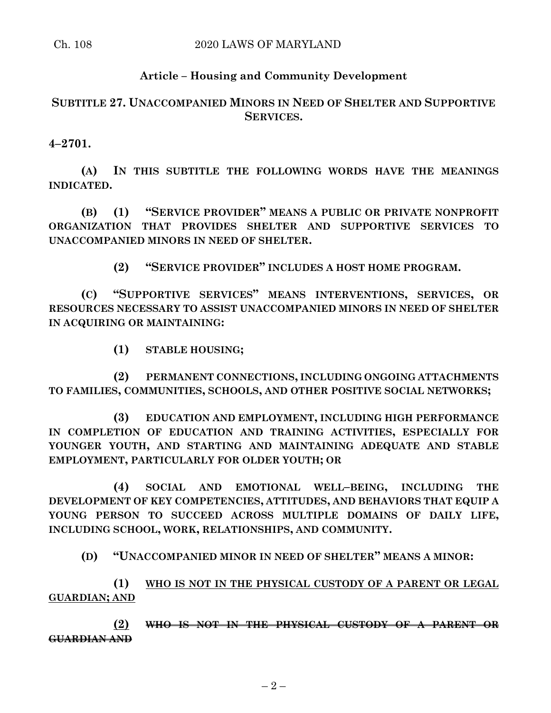## **Article – Housing and Community Development**

# **SUBTITLE 27. UNACCOMPANIED MINORS IN NEED OF SHELTER AND SUPPORTIVE SERVICES.**

**4–2701.**

**(A) IN THIS SUBTITLE THE FOLLOWING WORDS HAVE THE MEANINGS INDICATED.**

**(B) (1) "SERVICE PROVIDER" MEANS A PUBLIC OR PRIVATE NONPROFIT ORGANIZATION THAT PROVIDES SHELTER AND SUPPORTIVE SERVICES TO UNACCOMPANIED MINORS IN NEED OF SHELTER.**

**(2) "SERVICE PROVIDER" INCLUDES A HOST HOME PROGRAM.**

**(C) "SUPPORTIVE SERVICES" MEANS INTERVENTIONS, SERVICES, OR RESOURCES NECESSARY TO ASSIST UNACCOMPANIED MINORS IN NEED OF SHELTER IN ACQUIRING OR MAINTAINING:**

**(1) STABLE HOUSING;**

**(2) PERMANENT CONNECTIONS, INCLUDING ONGOING ATTACHMENTS TO FAMILIES, COMMUNITIES, SCHOOLS, AND OTHER POSITIVE SOCIAL NETWORKS;**

**(3) EDUCATION AND EMPLOYMENT, INCLUDING HIGH PERFORMANCE IN COMPLETION OF EDUCATION AND TRAINING ACTIVITIES, ESPECIALLY FOR YOUNGER YOUTH, AND STARTING AND MAINTAINING ADEQUATE AND STABLE EMPLOYMENT, PARTICULARLY FOR OLDER YOUTH; OR**

**(4) SOCIAL AND EMOTIONAL WELL–BEING, INCLUDING THE DEVELOPMENT OF KEY COMPETENCIES, ATTITUDES, AND BEHAVIORS THAT EQUIP A YOUNG PERSON TO SUCCEED ACROSS MULTIPLE DOMAINS OF DAILY LIFE, INCLUDING SCHOOL, WORK, RELATIONSHIPS, AND COMMUNITY.**

**(D) "UNACCOMPANIED MINOR IN NEED OF SHELTER" MEANS A MINOR:**

**(1) WHO IS NOT IN THE PHYSICAL CUSTODY OF A PARENT OR LEGAL GUARDIAN; AND**

**(2) WHO IS NOT IN THE PHYSICAL CUSTODY OF A PARENT OR GUARDIAN AND**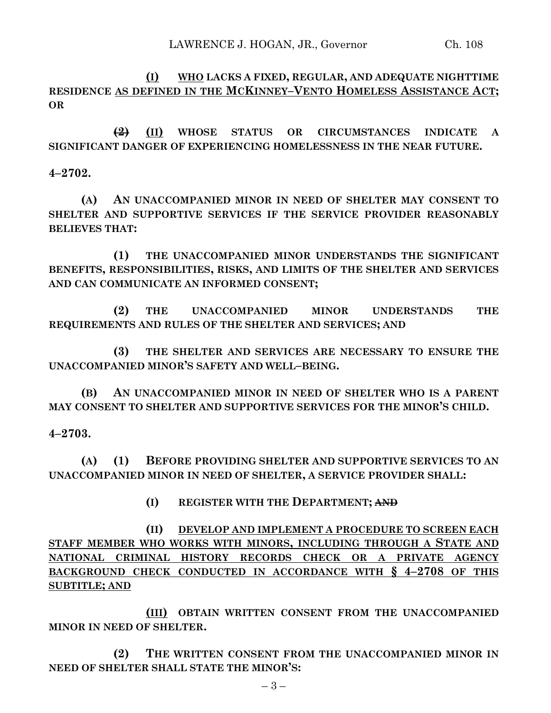**(I) WHO LACKS A FIXED, REGULAR, AND ADEQUATE NIGHTTIME RESIDENCE AS DEFINED IN THE MCKINNEY–VENTO HOMELESS ASSISTANCE ACT; OR**

**(2) (II) WHOSE STATUS OR CIRCUMSTANCES INDICATE A SIGNIFICANT DANGER OF EXPERIENCING HOMELESSNESS IN THE NEAR FUTURE.**

**4–2702.**

**(A) AN UNACCOMPANIED MINOR IN NEED OF SHELTER MAY CONSENT TO SHELTER AND SUPPORTIVE SERVICES IF THE SERVICE PROVIDER REASONABLY BELIEVES THAT:**

**(1) THE UNACCOMPANIED MINOR UNDERSTANDS THE SIGNIFICANT BENEFITS, RESPONSIBILITIES, RISKS, AND LIMITS OF THE SHELTER AND SERVICES AND CAN COMMUNICATE AN INFORMED CONSENT;**

**(2) THE UNACCOMPANIED MINOR UNDERSTANDS THE REQUIREMENTS AND RULES OF THE SHELTER AND SERVICES; AND**

**(3) THE SHELTER AND SERVICES ARE NECESSARY TO ENSURE THE UNACCOMPANIED MINOR'S SAFETY AND WELL–BEING.**

**(B) AN UNACCOMPANIED MINOR IN NEED OF SHELTER WHO IS A PARENT MAY CONSENT TO SHELTER AND SUPPORTIVE SERVICES FOR THE MINOR'S CHILD.**

**4–2703.**

**(A) (1) BEFORE PROVIDING SHELTER AND SUPPORTIVE SERVICES TO AN UNACCOMPANIED MINOR IN NEED OF SHELTER, A SERVICE PROVIDER SHALL:**

**(I) REGISTER WITH THE DEPARTMENT; AND**

**(II) DEVELOP AND IMPLEMENT A PROCEDURE TO SCREEN EACH STAFF MEMBER WHO WORKS WITH MINORS, INCLUDING THROUGH A STATE AND NATIONAL CRIMINAL HISTORY RECORDS CHECK OR A PRIVATE AGENCY BACKGROUND CHECK CONDUCTED IN ACCORDANCE WITH § 4–2708 OF THIS SUBTITLE; AND**

**(III) OBTAIN WRITTEN CONSENT FROM THE UNACCOMPANIED MINOR IN NEED OF SHELTER.**

**(2) THE WRITTEN CONSENT FROM THE UNACCOMPANIED MINOR IN NEED OF SHELTER SHALL STATE THE MINOR'S:**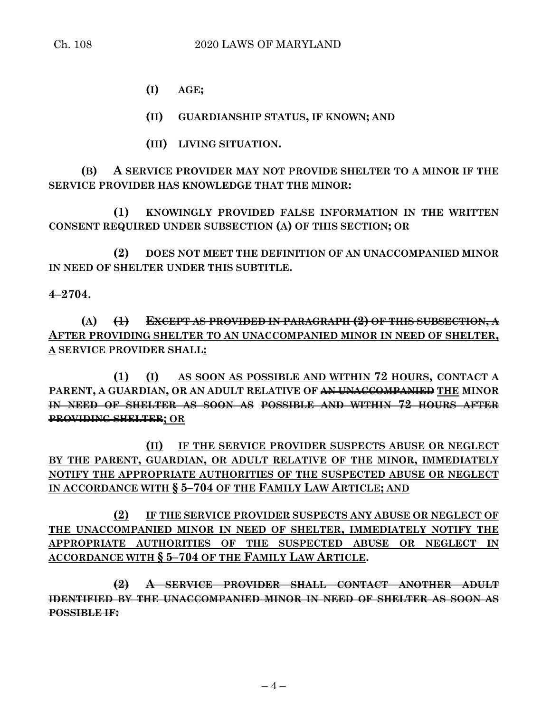**(I) AGE;**

**(II) GUARDIANSHIP STATUS, IF KNOWN; AND**

**(III) LIVING SITUATION.**

**(B) A SERVICE PROVIDER MAY NOT PROVIDE SHELTER TO A MINOR IF THE SERVICE PROVIDER HAS KNOWLEDGE THAT THE MINOR:**

**(1) KNOWINGLY PROVIDED FALSE INFORMATION IN THE WRITTEN CONSENT REQUIRED UNDER SUBSECTION (A) OF THIS SECTION; OR**

**(2) DOES NOT MEET THE DEFINITION OF AN UNACCOMPANIED MINOR IN NEED OF SHELTER UNDER THIS SUBTITLE.**

**4–2704.**

**(A) (1) EXCEPT AS PROVIDED IN PARAGRAPH (2) OF THIS SUBSECTION, A AFTER PROVIDING SHELTER TO AN UNACCOMPANIED MINOR IN NEED OF SHELTER, A SERVICE PROVIDER SHALL:**

**(1) (I) AS SOON AS POSSIBLE AND WITHIN 72 HOURS, CONTACT A PARENT, A GUARDIAN, OR AN ADULT RELATIVE OF AN UNACCOMPANIED THE MINOR IN NEED OF SHELTER AS SOON AS POSSIBLE AND WITHIN 72 HOURS AFTER PROVIDING SHELTER; OR**

**(II) IF THE SERVICE PROVIDER SUSPECTS ABUSE OR NEGLECT BY THE PARENT, GUARDIAN, OR ADULT RELATIVE OF THE MINOR, IMMEDIATELY NOTIFY THE APPROPRIATE AUTHORITIES OF THE SUSPECTED ABUSE OR NEGLECT IN ACCORDANCE WITH § 5–704 OF THE FAMILY LAW ARTICLE; AND** 

**(2) IF THE SERVICE PROVIDER SUSPECTS ANY ABUSE OR NEGLECT OF THE UNACCOMPANIED MINOR IN NEED OF SHELTER, IMMEDIATELY NOTIFY THE APPROPRIATE AUTHORITIES OF THE SUSPECTED ABUSE OR NEGLECT IN ACCORDANCE WITH § 5–704 OF THE FAMILY LAW ARTICLE.**

**(2) A SERVICE PROVIDER SHALL CONTACT ANOTHER ADULT IDENTIFIED BY THE UNACCOMPANIED MINOR IN NEED OF SHELTER AS SOON AS POSSIBLE IF:**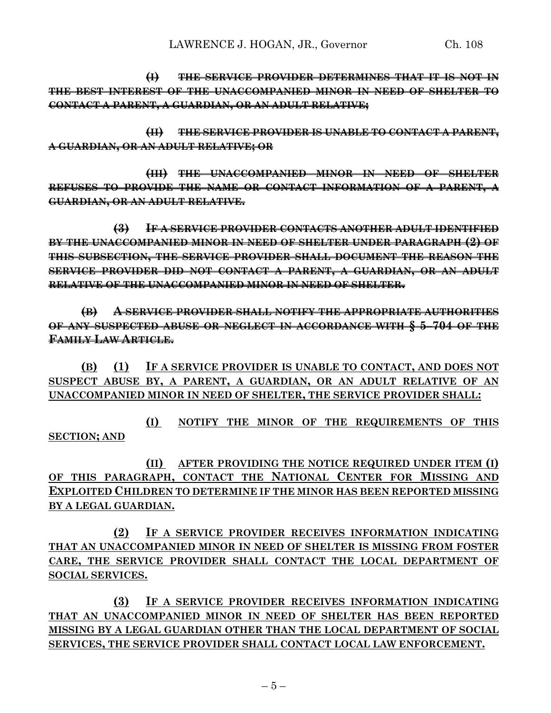**(I) THE SERVICE PROVIDER DETERMINES THAT IT IS NOT IN THE BEST INTEREST OF THE UNACCOMPANIED MINOR IN NEED OF SHELTER TO CONTACT A PARENT, A GUARDIAN, OR AN ADULT RELATIVE;**

**(II) THE SERVICE PROVIDER IS UNABLE TO CONTACT A PARENT, A GUARDIAN, OR AN ADULT RELATIVE; OR**

**(III) THE UNACCOMPANIED MINOR IN NEED OF SHELTER REFUSES TO PROVIDE THE NAME OR CONTACT INFORMATION OF A PARENT, A GUARDIAN, OR AN ADULT RELATIVE.**

**(3) IF A SERVICE PROVIDER CONTACTS ANOTHER ADULT IDENTIFIED BY THE UNACCOMPANIED MINOR IN NEED OF SHELTER UNDER PARAGRAPH (2) OF THIS SUBSECTION, THE SERVICE PROVIDER SHALL DOCUMENT THE REASON THE SERVICE PROVIDER DID NOT CONTACT A PARENT, A GUARDIAN, OR AN ADULT RELATIVE OF THE UNACCOMPANIED MINOR IN NEED OF SHELTER.**

**(B) A SERVICE PROVIDER SHALL NOTIFY THE APPROPRIATE AUTHORITIES OF ANY SUSPECTED ABUSE OR NEGLECT IN ACCORDANCE WITH § 5–704 OF THE FAMILY LAW ARTICLE.**

**(B) (1) IF A SERVICE PROVIDER IS UNABLE TO CONTACT, AND DOES NOT SUSPECT ABUSE BY, A PARENT, A GUARDIAN, OR AN ADULT RELATIVE OF AN UNACCOMPANIED MINOR IN NEED OF SHELTER, THE SERVICE PROVIDER SHALL:**

**(I) NOTIFY THE MINOR OF THE REQUIREMENTS OF THIS SECTION; AND**

**(II) AFTER PROVIDING THE NOTICE REQUIRED UNDER ITEM (I) OF THIS PARAGRAPH, CONTACT THE NATIONAL CENTER FOR MISSING AND EXPLOITED CHILDREN TO DETERMINE IF THE MINOR HAS BEEN REPORTED MISSING BY A LEGAL GUARDIAN.**

**(2) IF A SERVICE PROVIDER RECEIVES INFORMATION INDICATING THAT AN UNACCOMPANIED MINOR IN NEED OF SHELTER IS MISSING FROM FOSTER CARE, THE SERVICE PROVIDER SHALL CONTACT THE LOCAL DEPARTMENT OF SOCIAL SERVICES.**

**(3) IF A SERVICE PROVIDER RECEIVES INFORMATION INDICATING THAT AN UNACCOMPANIED MINOR IN NEED OF SHELTER HAS BEEN REPORTED MISSING BY A LEGAL GUARDIAN OTHER THAN THE LOCAL DEPARTMENT OF SOCIAL SERVICES, THE SERVICE PROVIDER SHALL CONTACT LOCAL LAW ENFORCEMENT.**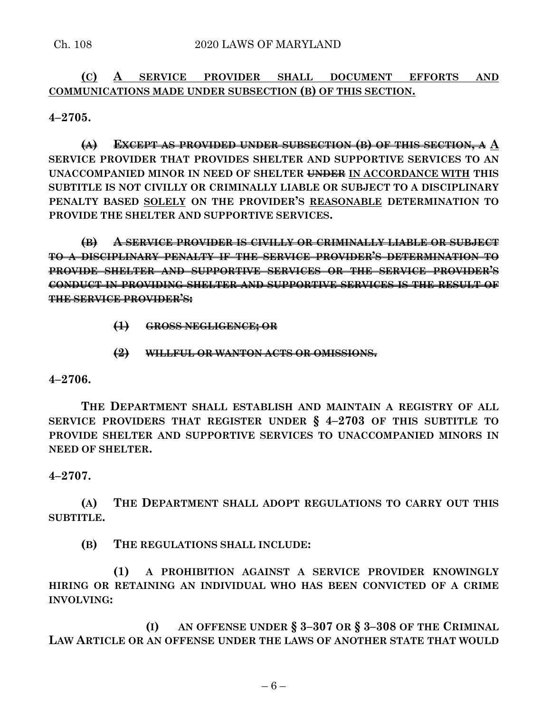## **(C) A SERVICE PROVIDER SHALL DOCUMENT EFFORTS AND COMMUNICATIONS MADE UNDER SUBSECTION (B) OF THIS SECTION.**

**4–2705.**

**(A) EXCEPT AS PROVIDED UNDER SUBSECTION (B) OF THIS SECTION, A A SERVICE PROVIDER THAT PROVIDES SHELTER AND SUPPORTIVE SERVICES TO AN UNACCOMPANIED MINOR IN NEED OF SHELTER UNDER IN ACCORDANCE WITH THIS SUBTITLE IS NOT CIVILLY OR CRIMINALLY LIABLE OR SUBJECT TO A DISCIPLINARY PENALTY BASED SOLELY ON THE PROVIDER'S REASONABLE DETERMINATION TO PROVIDE THE SHELTER AND SUPPORTIVE SERVICES.**

**(B) A SERVICE PROVIDER IS CIVILLY OR CRIMINALLY LIABLE OR SUBJECT TO A DISCIPLINARY PENALTY IF THE SERVICE PROVIDER'S DETERMINATION TO PROVIDE SHELTER AND SUPPORTIVE SERVICES OR THE SERVICE PROVIDER'S CONDUCT IN PROVIDING SHELTER AND SUPPORTIVE SERVICES IS THE RESULT OF THE SERVICE PROVIDER'S:**

**(1) GROSS NEGLIGENCE; OR**

**(2) WILLFUL OR WANTON ACTS OR OMISSIONS.**

### **4–2706.**

**THE DEPARTMENT SHALL ESTABLISH AND MAINTAIN A REGISTRY OF ALL SERVICE PROVIDERS THAT REGISTER UNDER § 4–2703 OF THIS SUBTITLE TO PROVIDE SHELTER AND SUPPORTIVE SERVICES TO UNACCOMPANIED MINORS IN NEED OF SHELTER.**

### **4–2707.**

**(A) THE DEPARTMENT SHALL ADOPT REGULATIONS TO CARRY OUT THIS SUBTITLE.**

**(B) THE REGULATIONS SHALL INCLUDE:**

**(1) A PROHIBITION AGAINST A SERVICE PROVIDER KNOWINGLY HIRING OR RETAINING AN INDIVIDUAL WHO HAS BEEN CONVICTED OF A CRIME INVOLVING:**

**(I) AN OFFENSE UNDER § 3–307 OR § 3–308 OF THE CRIMINAL LAW ARTICLE OR AN OFFENSE UNDER THE LAWS OF ANOTHER STATE THAT WOULD**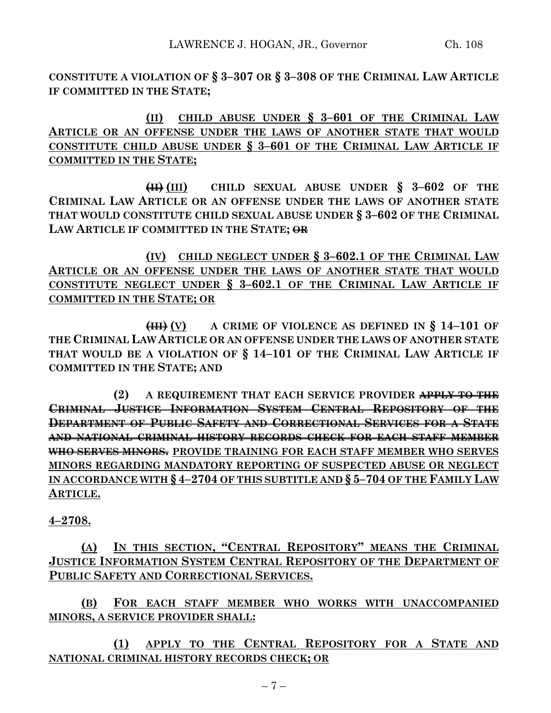**CONSTITUTE A VIOLATION OF § 3–307 OR § 3–308 OF THE CRIMINAL LAW ARTICLE IF COMMITTED IN THE STATE;**

**(II) CHILD ABUSE UNDER § 3–601 OF THE CRIMINAL LAW ARTICLE OR AN OFFENSE UNDER THE LAWS OF ANOTHER STATE THAT WOULD CONSTITUTE CHILD ABUSE UNDER § 3–601 OF THE CRIMINAL LAW ARTICLE IF COMMITTED IN THE STATE;**

**(II) (III) CHILD SEXUAL ABUSE UNDER § 3–602 OF THE CRIMINAL LAW ARTICLE OR AN OFFENSE UNDER THE LAWS OF ANOTHER STATE THAT WOULD CONSTITUTE CHILD SEXUAL ABUSE UNDER § 3–602 OF THE CRIMINAL LAW ARTICLE IF COMMITTED IN THE STATE; OR**

**(IV) CHILD NEGLECT UNDER § 3–602.1 OF THE CRIMINAL LAW ARTICLE OR AN OFFENSE UNDER THE LAWS OF ANOTHER STATE THAT WOULD CONSTITUTE NEGLECT UNDER § 3–602.1 OF THE CRIMINAL LAW ARTICLE IF COMMITTED IN THE STATE; OR**

**(III) (V) A CRIME OF VIOLENCE AS DEFINED IN § 14–101 OF THE CRIMINAL LAW ARTICLE OR AN OFFENSE UNDER THE LAWS OF ANOTHER STATE THAT WOULD BE A VIOLATION OF § 14–101 OF THE CRIMINAL LAW ARTICLE IF COMMITTED IN THE STATE; AND**

**(2) A REQUIREMENT THAT EACH SERVICE PROVIDER APPLY TO THE CRIMINAL JUSTICE INFORMATION SYSTEM CENTRAL REPOSITORY OF THE DEPARTMENT OF PUBLIC SAFETY AND CORRECTIONAL SERVICES FOR A STATE AND NATIONAL CRIMINAL HISTORY RECORDS CHECK FOR EACH STAFF MEMBER WHO SERVES MINORS. PROVIDE TRAINING FOR EACH STAFF MEMBER WHO SERVES MINORS REGARDING MANDATORY REPORTING OF SUSPECTED ABUSE OR NEGLECT IN ACCORDANCE WITH § 4–2704 OF THIS SUBTITLE AND § 5–704 OF THE FAMILY LAW ARTICLE.**

**4–2708.**

**(A) IN THIS SECTION, "CENTRAL REPOSITORY" MEANS THE CRIMINAL JUSTICE INFORMATION SYSTEM CENTRAL REPOSITORY OF THE DEPARTMENT OF PUBLIC SAFETY AND CORRECTIONAL SERVICES.**

**(B) FOR EACH STAFF MEMBER WHO WORKS WITH UNACCOMPANIED MINORS, A SERVICE PROVIDER SHALL:**

**(1) APPLY TO THE CENTRAL REPOSITORY FOR A STATE AND NATIONAL CRIMINAL HISTORY RECORDS CHECK; OR**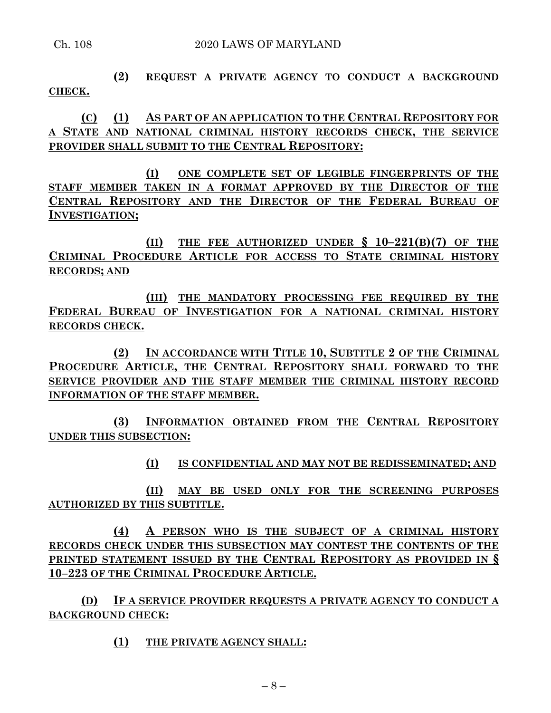# **(2) REQUEST A PRIVATE AGENCY TO CONDUCT A BACKGROUND CHECK.**

**(C) (1) AS PART OF AN APPLICATION TO THE CENTRAL REPOSITORY FOR A STATE AND NATIONAL CRIMINAL HISTORY RECORDS CHECK, THE SERVICE PROVIDER SHALL SUBMIT TO THE CENTRAL REPOSITORY:**

**(I) ONE COMPLETE SET OF LEGIBLE FINGERPRINTS OF THE STAFF MEMBER TAKEN IN A FORMAT APPROVED BY THE DIRECTOR OF THE CENTRAL REPOSITORY AND THE DIRECTOR OF THE FEDERAL BUREAU OF INVESTIGATION;**

**(II) THE FEE AUTHORIZED UNDER § 10–221(B)(7) OF THE CRIMINAL PROCEDURE ARTICLE FOR ACCESS TO STATE CRIMINAL HISTORY RECORDS; AND**

**(III) THE MANDATORY PROCESSING FEE REQUIRED BY THE FEDERAL BUREAU OF INVESTIGATION FOR A NATIONAL CRIMINAL HISTORY RECORDS CHECK.**

**(2) IN ACCORDANCE WITH TITLE 10, SUBTITLE 2 OF THE CRIMINAL PROCEDURE ARTICLE, THE CENTRAL REPOSITORY SHALL FORWARD TO THE SERVICE PROVIDER AND THE STAFF MEMBER THE CRIMINAL HISTORY RECORD INFORMATION OF THE STAFF MEMBER.**

**(3) INFORMATION OBTAINED FROM THE CENTRAL REPOSITORY UNDER THIS SUBSECTION:**

**(I) IS CONFIDENTIAL AND MAY NOT BE REDISSEMINATED; AND**

**(II) MAY BE USED ONLY FOR THE SCREENING PURPOSES AUTHORIZED BY THIS SUBTITLE.**

**(4) A PERSON WHO IS THE SUBJECT OF A CRIMINAL HISTORY RECORDS CHECK UNDER THIS SUBSECTION MAY CONTEST THE CONTENTS OF THE PRINTED STATEMENT ISSUED BY THE CENTRAL REPOSITORY AS PROVIDED IN § 10–223 OF THE CRIMINAL PROCEDURE ARTICLE.**

**(D) IF A SERVICE PROVIDER REQUESTS A PRIVATE AGENCY TO CONDUCT A BACKGROUND CHECK:**

**(1) THE PRIVATE AGENCY SHALL:**